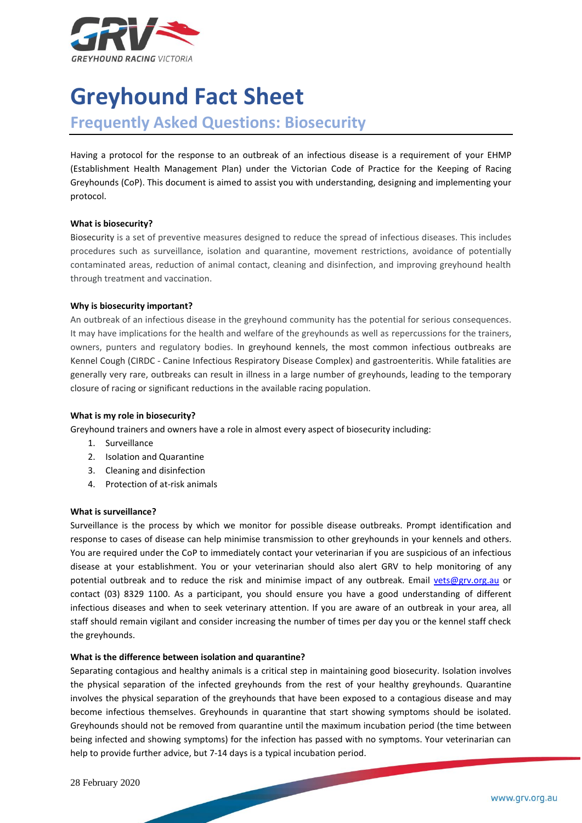

# **Greyhound Fact Sheet**

# **Frequently Asked Questions: Biosecurity**

Having a protocol for the response to an outbreak of an infectious disease is a requirement of your EHMP (Establishment Health Management Plan) under the Victorian Code of Practice for the Keeping of Racing Greyhounds (CoP). This document is aimed to assist you with understanding, designing and implementing your protocol.

#### **What is biosecurity?**

Biosecurity is a set of preventive measures designed to reduce the spread of infectious diseases. This includes procedures such as surveillance, isolation and quarantine, movement restrictions, avoidance of potentially contaminated areas, reduction of animal contact, cleaning and disinfection, and improving greyhound health through treatment and vaccination.

## **Why is biosecurity important?**

An outbreak of an infectious disease in the greyhound community has the potential for serious consequences. It may have implications for the health and welfare of the greyhounds as well as repercussions for the trainers, owners, punters and regulatory bodies. In greyhound kennels, the most common infectious outbreaks are Kennel Cough (CIRDC - Canine Infectious Respiratory Disease Complex) and gastroenteritis. While fatalities are generally very rare, outbreaks can result in illness in a large number of greyhounds, leading to the temporary closure of racing or significant reductions in the available racing population.

#### **What is my role in biosecurity?**

Greyhound trainers and owners have a role in almost every aspect of biosecurity including:

- 1. Surveillance
- 2. Isolation and Quarantine
- 3. Cleaning and disinfection
- 4. Protection of at-risk animals

#### **What is surveillance?**

Surveillance is the process by which we monitor for possible disease outbreaks. Prompt identification and response to cases of disease can help minimise transmission to other greyhounds in your kennels and others. You are required under the CoP to immediately contact your veterinarian if you are suspicious of an infectious disease at your establishment. You or your veterinarian should also alert GRV to help monitoring of any potential outbreak and to reduce the risk and minimise impact of any outbreak. Email [vets@grv.org.au](mailto:vets@grv.org.au) or contact (03) 8329 1100. As a participant, you should ensure you have a good understanding of different infectious diseases and when to seek veterinary attention. If you are aware of an outbreak in your area, all staff should remain vigilant and consider increasing the number of times per day you or the kennel staff check the greyhounds.

#### **What is the difference between isolation and quarantine?**

Separating contagious and healthy animals is a critical step in maintaining good biosecurity. Isolation involves the physical separation of the infected greyhounds from the rest of your healthy greyhounds. Quarantine involves the physical separation of the greyhounds that have been exposed to a contagious disease and may become infectious themselves. Greyhounds in quarantine that start showing symptoms should be isolated. Greyhounds should not be removed from quarantine until the maximum incubation period (the time between being infected and showing symptoms) for the infection has passed with no symptoms. Your veterinarian can help to provide further advice, but 7-14 days is a typical incubation period.